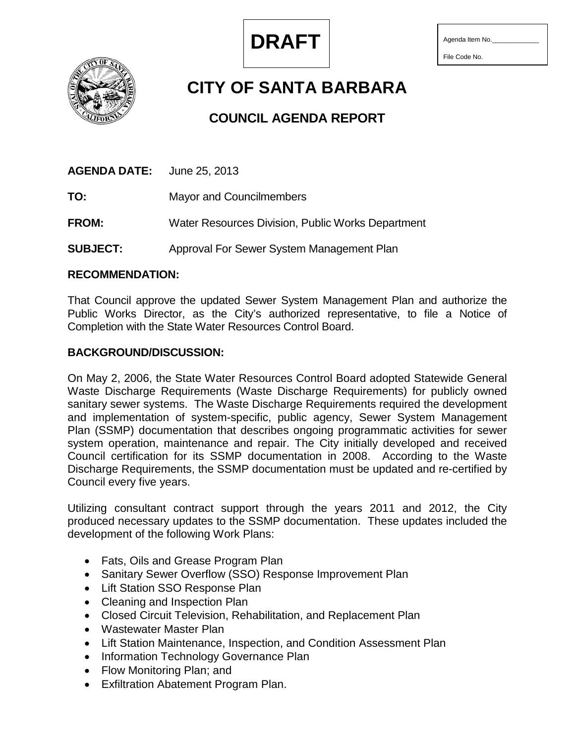

File Code No.

**CITY OF SANTA BARBARA**

# **COUNCIL AGENDA REPORT**

**AGENDA DATE:** June 25, 2013

**TO:** Mayor and Councilmembers

**FROM:** Water Resources Division, Public Works Department

**SUBJECT:** Approval For Sewer System Management Plan

# **RECOMMENDATION:**

That Council approve the updated Sewer System Management Plan and authorize the Public Works Director, as the City's authorized representative, to file a Notice of Completion with the State Water Resources Control Board.

# **BACKGROUND/DISCUSSION:**

On May 2, 2006, the State Water Resources Control Board adopted Statewide General Waste Discharge Requirements (Waste Discharge Requirements) for publicly owned sanitary sewer systems. The Waste Discharge Requirements required the development and implementation of system-specific, public agency, Sewer System Management Plan (SSMP) documentation that describes ongoing programmatic activities for sewer system operation, maintenance and repair. The City initially developed and received Council certification for its SSMP documentation in 2008. According to the Waste Discharge Requirements, the SSMP documentation must be updated and re-certified by Council every five years.

Utilizing consultant contract support through the years 2011 and 2012, the City produced necessary updates to the SSMP documentation. These updates included the development of the following Work Plans:

- Fats, Oils and Grease Program Plan
- Sanitary Sewer Overflow (SSO) Response Improvement Plan
- Lift Station SSO Response Plan
- Cleaning and Inspection Plan
- Closed Circuit Television, Rehabilitation, and Replacement Plan
- Wastewater Master Plan
- Lift Station Maintenance, Inspection, and Condition Assessment Plan
- Information Technology Governance Plan
- Flow Monitoring Plan; and
- Exfiltration Abatement Program Plan.